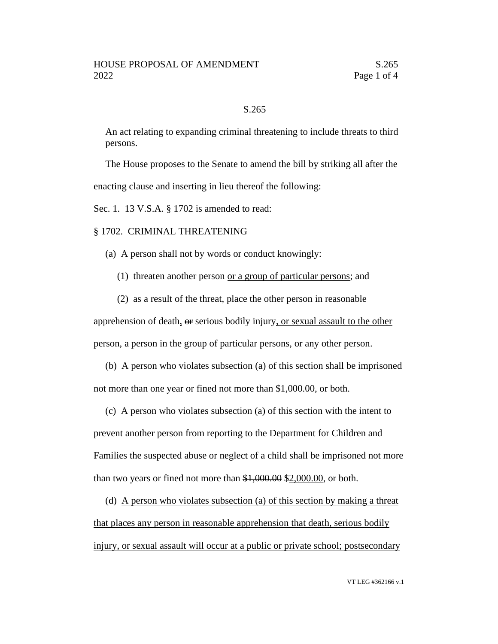## S.265

An act relating to expanding criminal threatening to include threats to third persons.

The House proposes to the Senate to amend the bill by striking all after the enacting clause and inserting in lieu thereof the following:

Sec. 1. 13 V.S.A. § 1702 is amended to read:

## § 1702. CRIMINAL THREATENING

- (a) A person shall not by words or conduct knowingly:
	- (1) threaten another person or a group of particular persons; and
	- (2) as a result of the threat, place the other person in reasonable

apprehension of death, or serious bodily injury, or sexual assault to the other person, a person in the group of particular persons, or any other person.

(b) A person who violates subsection (a) of this section shall be imprisoned not more than one year or fined not more than \$1,000.00, or both.

(c) A person who violates subsection (a) of this section with the intent to prevent another person from reporting to the Department for Children and Families the suspected abuse or neglect of a child shall be imprisoned not more than two years or fined not more than \$1,000.00 \$2,000.00, or both.

(d) A person who violates subsection (a) of this section by making a threat that places any person in reasonable apprehension that death, serious bodily injury, or sexual assault will occur at a public or private school; postsecondary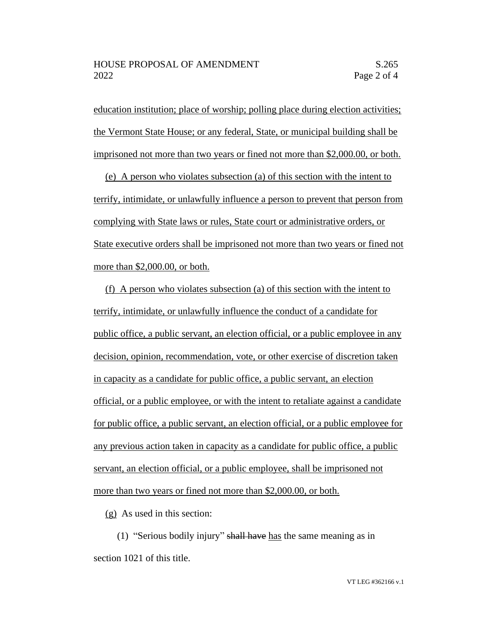education institution; place of worship; polling place during election activities; the Vermont State House; or any federal, State, or municipal building shall be imprisoned not more than two years or fined not more than \$2,000.00, or both.

(e) A person who violates subsection (a) of this section with the intent to terrify, intimidate, or unlawfully influence a person to prevent that person from complying with State laws or rules, State court or administrative orders, or State executive orders shall be imprisoned not more than two years or fined not more than \$2,000.00, or both.

(f) A person who violates subsection (a) of this section with the intent to terrify, intimidate, or unlawfully influence the conduct of a candidate for public office, a public servant, an election official, or a public employee in any decision, opinion, recommendation, vote, or other exercise of discretion taken in capacity as a candidate for public office, a public servant, an election official, or a public employee, or with the intent to retaliate against a candidate for public office, a public servant, an election official, or a public employee for any previous action taken in capacity as a candidate for public office, a public servant, an election official, or a public employee, shall be imprisoned not more than two years or fined not more than \$2,000.00, or both.

(g) As used in this section:

(1) "Serious bodily injury" shall have has the same meaning as in section 1021 of this title.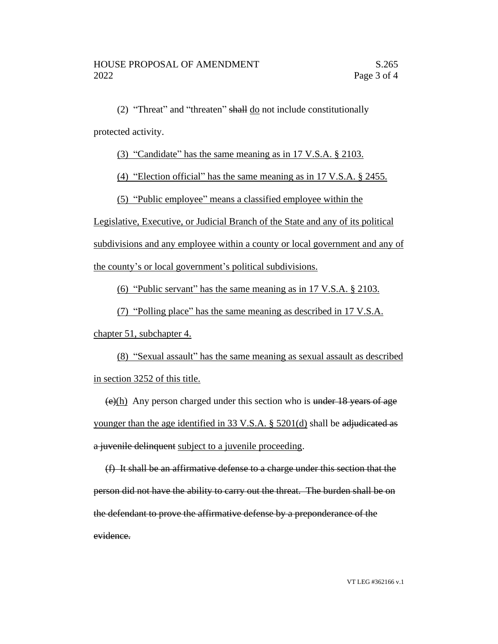(2) "Threat" and "threaten" shall do not include constitutionally protected activity.

(3) "Candidate" has the same meaning as in 17 V.S.A. § 2103.

(4) "Election official" has the same meaning as in 17 V.S.A. § 2455.

(5) "Public employee" means a classified employee within the

Legislative, Executive, or Judicial Branch of the State and any of its political

subdivisions and any employee within a county or local government and any of

the county's or local government's political subdivisions.

(6) "Public servant" has the same meaning as in 17 V.S.A. § 2103.

(7) "Polling place" has the same meaning as described in 17 V.S.A.

chapter 51, subchapter 4.

(8) "Sexual assault" has the same meaning as sexual assault as described in section 3252 of this title.

 $\frac{\left(\frac{e}{h}\right)}{h}$  Any person charged under this section who is under 18 years of age younger than the age identified in 33 V.S.A. § 5201(d) shall be adjudicated as a juvenile delinquent subject to a juvenile proceeding.

(f) It shall be an affirmative defense to a charge under this section that the person did not have the ability to carry out the threat. The burden shall be on the defendant to prove the affirmative defense by a preponderance of the evidence.